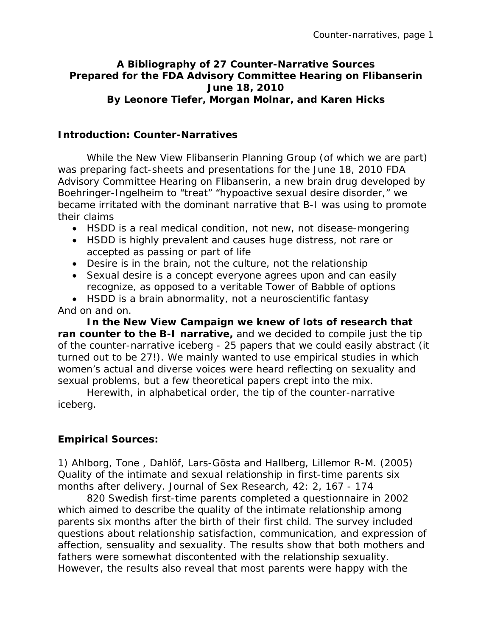## **A Bibliography of 27 Counter-Narrative Sources Prepared for the FDA Advisory Committee Hearing on Flibanserin June 18, 2010 By Leonore Tiefer, Morgan Molnar, and Karen Hicks**

## **Introduction: Counter-Narratives**

While the New View Flibanserin Planning Group (of which we are part) was preparing fact-sheets and presentations for the June 18, 2010 FDA Advisory Committee Hearing on Flibanserin, a new brain drug developed by Boehringer-Ingelheim to "treat" "hypoactive sexual desire disorder," we became irritated with the dominant narrative that B-I was using to promote their claims

- HSDD is a real medical condition, not new, not disease-mongering
- HSDD is highly prevalent and causes huge distress, not rare or accepted as passing or part of life
- Desire is in the brain, not the culture, not the relationship
- Sexual desire is a concept everyone agrees upon and can easily recognize, as opposed to a veritable Tower of Babble of options

• HSDD is a brain abnormality, not a neuroscientific fantasy And on and on.

**In the New View Campaign we knew of lots of research that ran counter to the B-I narrative,** and we decided to compile just the tip of the counter-narrative iceberg - 25 papers that we could easily abstract (it turned out to be 27!). We mainly wanted to use empirical studies in which women's actual and diverse voices were heard reflecting on sexuality and sexual problems, but a few theoretical papers crept into the mix.

Herewith, in alphabetical order, the tip of the counter-narrative iceberg.

## **Empirical Sources:**

1) Ahlborg, Tone , Dahlöf, Lars-Gösta and Hallberg, Lillemor R-M. (2005) Quality of the intimate and sexual relationship in first-time parents six months after delivery. Journal of Sex Research, 42: 2, 167 - 174

820 Swedish first-time parents completed a questionnaire in 2002 which aimed to describe the quality of the intimate relationship among parents six months after the birth of their first child. The survey included questions about relationship satisfaction, communication, and expression of affection, sensuality and sexuality. The results show that both mothers and fathers were somewhat discontented with the relationship sexuality. However, the results also reveal that most parents were happy with the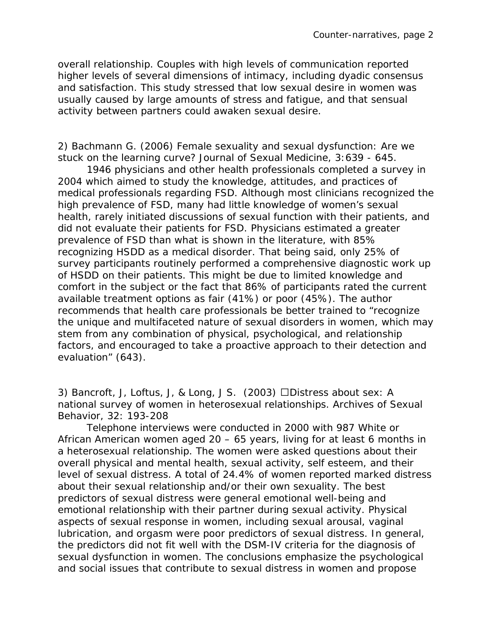overall relationship. Couples with high levels of communication reported higher levels of several dimensions of intimacy, including dyadic consensus and satisfaction. This study stressed that low sexual desire in women was usually caused by large amounts of stress and fatigue, and that sensual activity between partners could awaken sexual desire.

2) Bachmann G. (2006) Female sexuality and sexual dysfunction: Are we stuck on the learning curve? Journal of Sexual Medicine, 3:639 - 645.

1946 physicians and other health professionals completed a survey in 2004 which aimed to study the knowledge, attitudes, and practices of medical professionals regarding FSD. Although most clinicians recognized the high prevalence of FSD, many had little knowledge of women's sexual health, rarely initiated discussions of sexual function with their patients, and did not evaluate their patients for FSD. Physicians estimated a greater prevalence of FSD than what is shown in the literature, with 85% recognizing HSDD as a medical disorder. That being said, only 25% of survey participants routinely performed a comprehensive diagnostic work up of HSDD on their patients. This might be due to limited knowledge and comfort in the subject or the fact that 86% of participants rated the current available treatment options as fair (41%) or poor (45%). The author recommends that health care professionals be better trained to "recognize the unique and multifaceted nature of sexual disorders in women, which may stem from any combination of physical, psychological, and relationship factors, and encouraged to take a proactive approach to their detection and evaluation" (643).

3) Bancroft, J, Loftus, J, & Long, J S. (2003) Distress about sex: A national survey of women in heterosexual relationships. Archives of Sexual Behavior, 32: 193-208

Telephone interviews were conducted in 2000 with 987 White or African American women aged 20 – 65 years, living for at least 6 months in a heterosexual relationship. The women were asked questions about their overall physical and mental health, sexual activity, self esteem, and their level of sexual distress. A total of 24.4% of women reported marked distress about their sexual relationship and/or their own sexuality. The best predictors of sexual distress were general emotional well-being and emotional relationship with their partner during sexual activity. Physical aspects of sexual response in women, including sexual arousal, vaginal lubrication, and orgasm were poor predictors of sexual distress. In general, the predictors did *not* fit well with the *DSM-IV* criteria for the diagnosis of sexual dysfunction in women. The conclusions emphasize the psychological and social issues that contribute to sexual distress in women and propose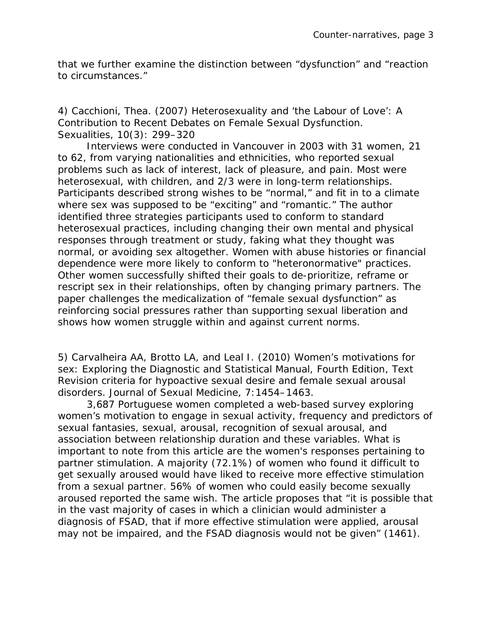that we further examine the distinction between "dysfunction" and "reaction to circumstances."

4) Cacchioni, Thea. (2007) Heterosexuality and 'the Labour of Love': A Contribution to Recent Debates on Female Sexual Dysfunction. Sexualities, 10(3): 299–320

Interviews were conducted in Vancouver in 2003 with 31 women, 21 to 62, from varying nationalities and ethnicities, who reported sexual problems such as lack of interest, lack of pleasure, and pain. Most were heterosexual, with children, and 2/3 were in long-term relationships. Participants described strong wishes to be "normal," and fit in to a climate where sex was supposed to be "exciting" and "romantic." The author identified three strategies participants used to conform to standard heterosexual practices, including changing their own mental and physical responses through treatment or study, faking what they thought was normal, or avoiding sex altogether. Women with abuse histories or financial dependence were more likely to conform to "heteronormative" practices. Other women successfully shifted their goals to de-prioritize, reframe or rescript sex in their relationships, often by changing primary partners. The paper challenges the medicalization of "female sexual dysfunction" as reinforcing social pressures rather than supporting sexual liberation and shows how women struggle within and against current norms.

5) Carvalheira AA, Brotto LA, and Leal I. (2010) Women's motivations for sex: Exploring the Diagnostic and Statistical Manual, Fourth Edition, Text Revision criteria for hypoactive sexual desire and female sexual arousal disorders. Journal of Sexual Medicine, 7:1454–1463.

3,687 Portuguese women completed a web-based survey exploring women's motivation to engage in sexual activity, frequency and predictors of sexual fantasies, sexual, arousal, recognition of sexual arousal, and association between relationship duration and these variables. What is important to note from this article are the women's responses pertaining to partner stimulation. A majority (72.1%) of women who found it difficult to get sexually aroused would have liked to receive more effective stimulation from a sexual partner. 56% of women who could easily become sexually aroused reported the same wish. The article proposes that "it is possible that in the vast majority of cases in which a clinician would administer a diagnosis of FSAD, that if more effective stimulation were applied, arousal may not be impaired, and the FSAD diagnosis would not be given" (1461).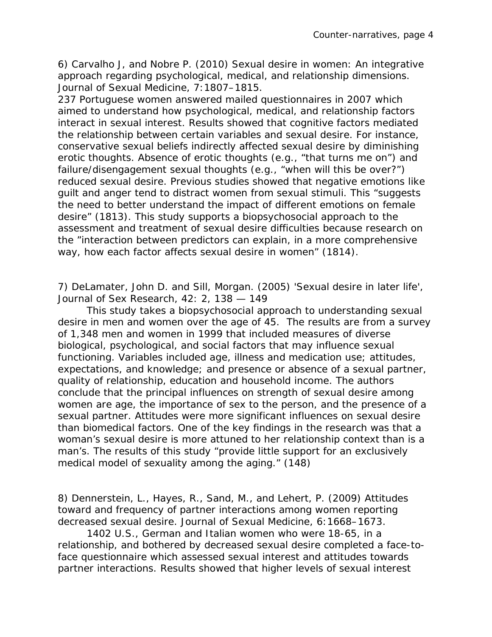6) Carvalho J, and Nobre P. (2010) Sexual desire in women: An integrative approach regarding psychological, medical, and relationship dimensions. Journal of Sexual Medicine, 7:1807–1815.

237 Portuguese women answered mailed questionnaires in 2007 which aimed to understand how psychological, medical, and relationship factors interact in sexual interest. Results showed that cognitive factors mediated the relationship between certain variables and sexual desire. For instance, conservative sexual beliefs indirectly affected sexual desire by diminishing erotic thoughts. Absence of erotic thoughts (e.g., "that turns me on") and failure/disengagement sexual thoughts (e.g., "when will this be over?") reduced sexual desire. Previous studies showed that negative emotions like guilt and anger tend to distract women from sexual stimuli. This "suggests the need to better understand the impact of different emotions on female desire" (1813). This study supports a biopsychosocial approach to the assessment and treatment of sexual desire difficulties because research on the "interaction between predictors can explain, in a more comprehensive way, how each factor affects sexual desire in women" (1814).

7) DeLamater, John D. and Sill, Morgan. (2005) 'Sexual desire in later life', Journal of Sex Research, 42: 2, 138 — 149

This study takes a biopsychosocial approach to understanding sexual desire in men and women over the age of 45. The results are from a survey of 1,348 men and women in 1999 that included measures of diverse biological, psychological, and social factors that may influence sexual functioning. Variables included age, illness and medication use; attitudes, expectations, and knowledge; and presence or absence of a sexual partner, quality of relationship, education and household income. The authors conclude that the principal influences on strength of sexual desire among women are age, the importance of sex to the person, and the presence of a sexual partner. Attitudes were more significant influences on sexual desire than biomedical factors. One of the key findings in the research was that a woman's sexual desire is more attuned to her relationship context than is a man's. The results of this study "provide little support for an exclusively medical model of sexuality among the aging." (148)

8) Dennerstein, L., Hayes, R., Sand, M., and Lehert, P. (2009) Attitudes toward and frequency of partner interactions among women reporting decreased sexual desire. Journal of Sexual Medicine, 6:1668–1673.

1402 U.S., German and Italian women who were 18-65, in a relationship, and bothered by decreased sexual desire completed a face-toface questionnaire which assessed sexual interest and attitudes towards partner interactions. Results showed that higher levels of sexual interest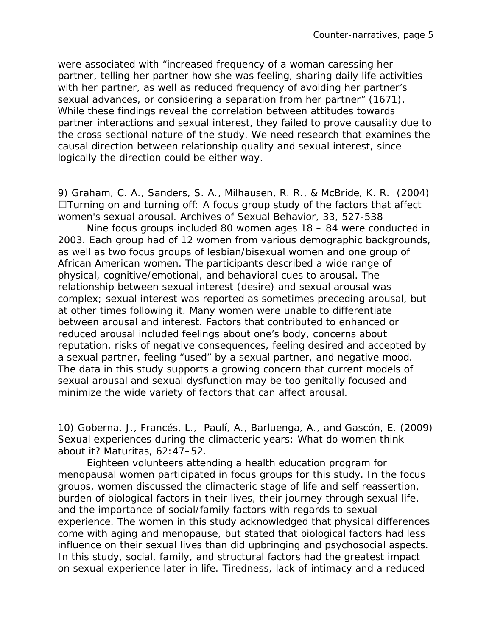were associated with "increased frequency of a woman caressing her partner, telling her partner how she was feeling, sharing daily life activities with her partner, as well as reduced frequency of avoiding her partner's sexual advances, or considering a separation from her partner" (1671). While these findings reveal the correlation between attitudes towards partner interactions and sexual interest, they failed to prove causality due to the cross sectional nature of the study. We need research that examines the causal direction between relationship quality and sexual interest, since logically the direction could be either way.

9) Graham, C. A., Sanders, S. A., Milhausen, R. R., & McBride, K. R. (2004)  $\Box$ Turning on and turning off: A focus group study of the factors that affect women's sexual arousal. Archives of Sexual Behavior, 33, 527-538

Nine focus groups included 80 women ages 18 – 84 were conducted in 2003. Each group had of 12 women from various demographic backgrounds, as well as two focus groups of lesbian/bisexual women and one group of African American women. The participants described a wide range of physical, cognitive/emotional, and behavioral cues to arousal. The relationship between sexual interest (desire) and sexual arousal was complex; sexual interest was reported as sometimes preceding arousal, but at other times following it. Many women were unable to differentiate between arousal and interest. Factors that contributed to enhanced or reduced arousal included feelings about one's body, concerns about reputation, risks of negative consequences, feeling desired and accepted by a sexual partner, feeling "used" by a sexual partner, and negative mood. The data in this study supports a growing concern that current models of sexual arousal and sexual dysfunction may be too genitally focused and minimize the wide variety of factors that can affect arousal.

10) Goberna, J., Francés, L., Paulí, A., Barluenga, A., and Gascón, E. (2009) Sexual experiences during the climacteric years: What do women think about it? Maturitas, 62:47–52.

Eighteen volunteers attending a health education program for menopausal women participated in focus groups for this study. In the focus groups, women discussed the climacteric stage of life and self reassertion, burden of biological factors in their lives, their journey through sexual life, and the importance of social/family factors with regards to sexual experience. The women in this study acknowledged that physical differences come with aging and menopause, but stated that biological factors had less influence on their sexual lives than did upbringing and psychosocial aspects. In this study, social, family, and structural factors had the greatest impact on sexual experience later in life. Tiredness, lack of intimacy and a reduced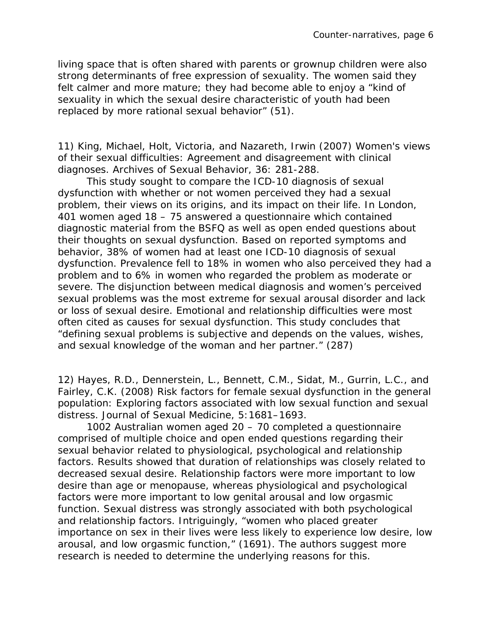living space that is often shared with parents or grownup children were also strong determinants of free expression of sexuality. The women said they felt calmer and more mature; they had become able to enjoy a "kind of sexuality in which the sexual desire characteristic of youth had been replaced by more rational sexual behavior" (51).

11) King, Michael, Holt, Victoria, and Nazareth, Irwin (2007) Women's views of their sexual difficulties: Agreement and disagreement with clinical diagnoses. Archives of Sexual Behavior, 36: 281-288.

This study sought to compare the ICD-10 diagnosis of sexual dysfunction with whether or not women perceived they had a sexual problem, their views on its origins, and its impact on their life. In London, 401 women aged 18 – 75 answered a questionnaire which contained diagnostic material from the BSFQ as well as open ended questions about their thoughts on sexual dysfunction. Based on reported symptoms and behavior, 38% of women had at least one ICD-10 diagnosis of sexual dysfunction. Prevalence fell to 18% in women who also perceived they had a problem and to 6% in women who regarded the problem as moderate or severe. The disjunction between medical diagnosis and women's perceived sexual problems was the most extreme for sexual arousal disorder and lack or loss of sexual desire. Emotional and relationship difficulties were most often cited as causes for sexual dysfunction. This study concludes that "defining sexual problems is subjective and depends on the values, wishes, and sexual knowledge of the woman and her partner." (287)

12) Hayes, R.D., Dennerstein, L., Bennett, C.M., Sidat, M., Gurrin, L.C., and Fairley, C.K. (2008) Risk factors for female sexual dysfunction in the general population: Exploring factors associated with low sexual function and sexual distress. Journal of Sexual Medicine, 5:1681–1693.

1002 Australian women aged 20 – 70 completed a questionnaire comprised of multiple choice and open ended questions regarding their sexual behavior related to physiological, psychological and relationship factors. Results showed that duration of relationships was closely related to decreased sexual desire. Relationship factors were more important to low desire than age or menopause, whereas physiological and psychological factors were more important to low genital arousal and low orgasmic function. Sexual distress was strongly associated with both psychological and relationship factors. Intriguingly, "women who placed greater importance on sex in their lives were less likely to experience low desire, low arousal, and low orgasmic function," (1691). The authors suggest more research is needed to determine the underlying reasons for this.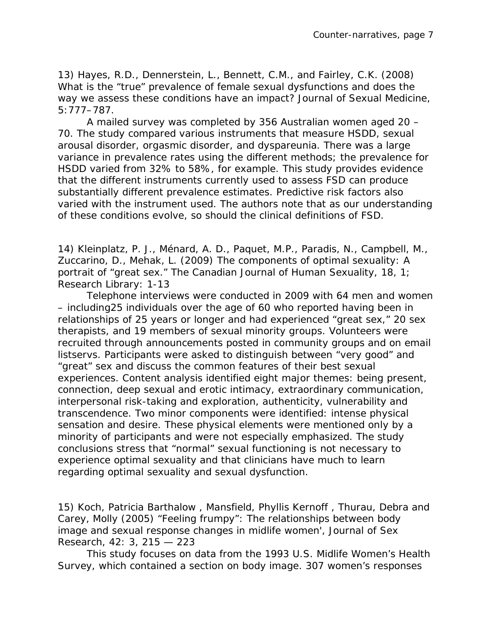13) Hayes, R.D., Dennerstein, L., Bennett, C.M., and Fairley, C.K. (2008) What is the "true" prevalence of female sexual dysfunctions and does the way we assess these conditions have an impact? Journal of Sexual Medicine, 5:777–787.

A mailed survey was completed by 356 Australian women aged 20 – 70. The study compared various instruments that measure HSDD, sexual arousal disorder, orgasmic disorder, and dyspareunia. There was a large variance in prevalence rates using the different methods; the prevalence for HSDD varied from 32% to 58%, for example. This study provides evidence that the different instruments currently used to assess FSD can produce substantially different prevalence estimates. Predictive risk factors also varied with the instrument used. The authors note that as our understanding of these conditions evolve, so should the clinical definitions of FSD.

14) Kleinplatz, P. J., Ménard, A. D., Paquet, M.P., Paradis, N., Campbell, M., Zuccarino, D., Mehak, L. (2009) The components of optimal sexuality: A portrait of "great sex." The Canadian Journal of Human Sexuality, 18, 1; Research Library: 1-13

Telephone interviews were conducted in 2009 with 64 men and women – including25 individuals over the age of 60 who reported having been in relationships of 25 years or longer and had experienced "great sex," 20 sex therapists, and 19 members of sexual minority groups. Volunteers were recruited through announcements posted in community groups and on email listservs. Participants were asked to distinguish between "very good" and "great" sex and discuss the common features of their best sexual experiences. Content analysis identified eight major themes: being present, connection, deep sexual and erotic intimacy, extraordinary communication, interpersonal risk-taking and exploration, authenticity, vulnerability and transcendence. Two minor components were identified: intense physical sensation and desire. These physical elements were mentioned only by a minority of participants and were not especially emphasized. The study conclusions stress that "normal" sexual functioning is not necessary to experience optimal sexuality and that clinicians have much to learn regarding optimal sexuality and sexual dysfunction.

15) Koch, Patricia Barthalow , Mansfield, Phyllis Kernoff , Thurau, Debra and Carey, Molly (2005) "Feeling frumpy": The relationships between body image and sexual response changes in midlife women', Journal of Sex Research, 42: 3, 215 — 223

This study focuses on data from the 1993 U.S. Midlife Women's Health Survey, which contained a section on body image. 307 women's responses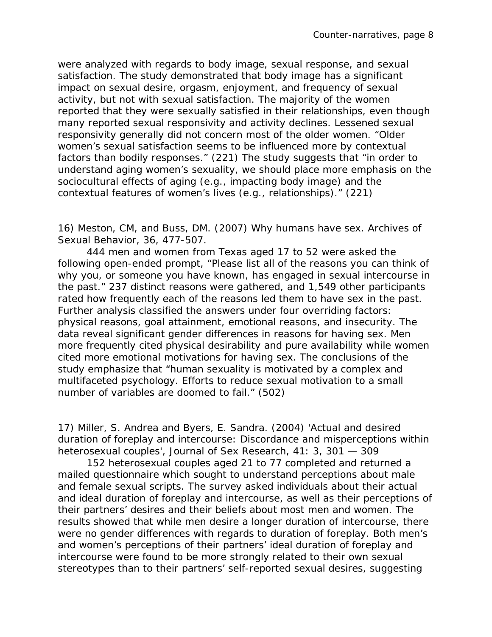were analyzed with regards to body image, sexual response, and sexual satisfaction. The study demonstrated that body image has a significant impact on sexual desire, orgasm, enjoyment, and frequency of sexual activity, but not with sexual satisfaction. The majority of the women reported that they were sexually satisfied in their relationships, even though many reported sexual responsivity and activity declines. Lessened sexual responsivity generally did not concern most of the older women. "Older women's sexual satisfaction seems to be influenced more by contextual factors than bodily responses." (221) The study suggests that "in order to understand aging women's sexuality, we should place more emphasis on the sociocultural effects of aging (e.g., impacting body image) and the contextual features of women's lives (e.g., relationships)." (221)

16) Meston, CM, and Buss, DM. (2007) Why humans have sex. Archives of Sexual Behavior, 36, 477-507.

444 men and women from Texas aged 17 to 52 were asked the following open-ended prompt, "Please list all of the reasons you can think of why you, or someone you have known, has engaged in sexual intercourse in the past." 237 distinct reasons were gathered, and 1,549 other participants rated how frequently each of the reasons led them to have sex in the past. Further analysis classified the answers under four overriding factors: physical reasons, goal attainment, emotional reasons, and insecurity. The data reveal significant gender differences in reasons for having sex. Men more frequently cited physical desirability and pure availability while women cited more emotional motivations for having sex. The conclusions of the study emphasize that "human sexuality is motivated by a complex and multifaceted psychology. Efforts to reduce sexual motivation to a small number of variables are doomed to fail." (502)

17) Miller, S. Andrea and Byers, E. Sandra. (2004) 'Actual and desired duration of foreplay and intercourse: Discordance and misperceptions within heterosexual couples', Journal of Sex Research, 41: 3, 301 — 309

152 heterosexual couples aged 21 to 77 completed and returned a mailed questionnaire which sought to understand perceptions about male and female sexual scripts. The survey asked individuals about their actual and ideal duration of foreplay and intercourse, as well as their perceptions of their partners' desires and their beliefs about most men and women. The results showed that while men desire a longer duration of intercourse, there were no gender differences with regards to duration of foreplay. Both men's and women's perceptions of their partners' ideal duration of foreplay and intercourse were found to be more strongly related to their own sexual stereotypes than to their partners' self-reported sexual desires, suggesting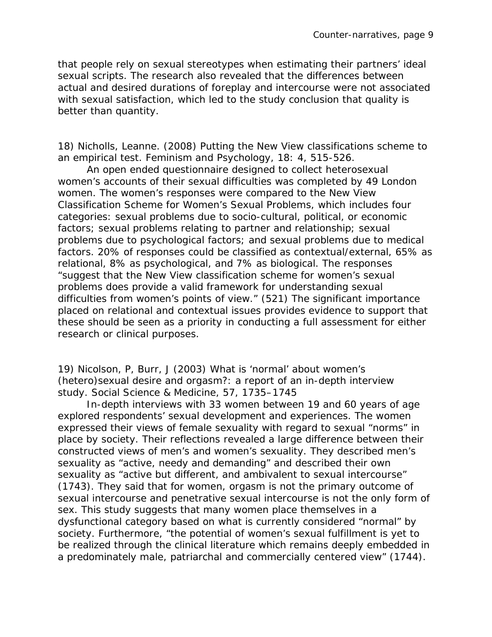that people rely on sexual stereotypes when estimating their partners' ideal sexual scripts. The research also revealed that the differences between actual and desired durations of foreplay and intercourse were not associated with sexual satisfaction, which led to the study conclusion that quality is better than quantity.

18) Nicholls, Leanne. (2008) Putting the New View classifications scheme to an empirical test. Feminism and Psychology, 18: 4, 515-526.

An open ended questionnaire designed to collect heterosexual women's accounts of their sexual difficulties was completed by 49 London women. The women's responses were compared to the *New View Classification Scheme for Women's Sexual Problems*, which includes four categories: sexual problems due to socio-cultural, political, or economic factors; sexual problems relating to partner and relationship; sexual problems due to psychological factors; and sexual problems due to medical factors. 20% of responses could be classified as contextual/external, 65% as relational, 8% as psychological, and 7% as biological. The responses "suggest that the New View classification scheme for women's sexual problems does provide a valid framework for understanding sexual difficulties from women's points of view." (521) The significant importance placed on relational and contextual issues provides evidence to support that these should be seen as a priority in conducting a full assessment for either research or clinical purposes.

19) Nicolson, P, Burr, J (2003) What is 'normal' about women's (hetero)sexual desire and orgasm?: a report of an in-depth interview study. Social Science & Medicine, 57, 1735–1745

In-depth interviews with 33 women between 19 and 60 years of age explored respondents' sexual development and experiences. The women expressed their views of female sexuality with regard to sexual "norms" in place by society. Their reflections revealed a large difference between their constructed views of men's and women's sexuality. They described men's sexuality as "active, needy and demanding" and described their own sexuality as "active but different, and ambivalent to sexual intercourse" (1743). They said that for women, orgasm is not the primary outcome of sexual intercourse and penetrative sexual intercourse is not the only form of sex. This study suggests that many women place *themselves* in a dysfunctional category based on what is currently considered "normal" by society. Furthermore, "the potential of women's sexual fulfillment is yet to be realized through the clinical literature which remains deeply embedded in a predominately male, patriarchal and commercially centered view" (1744).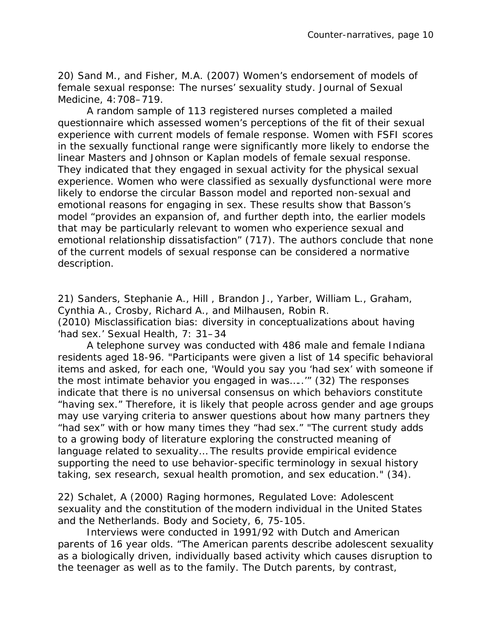20) Sand M., and Fisher, M.A. (2007) Women's endorsement of models of female sexual response: The nurses' sexuality study. Journal of Sexual Medicine, 4:708–719.

A random sample of 113 registered nurses completed a mailed questionnaire which assessed women's perceptions of the fit of their sexual experience with current models of female response. Women with FSFI scores in the sexually functional range were significantly more likely to endorse the linear Masters and Johnson or Kaplan models of female sexual response. They indicated that they engaged in sexual activity for the physical sexual experience. Women who were classified as sexually dysfunctional were more likely to endorse the circular Basson model and reported non-sexual and emotional reasons for engaging in sex. These results show that Basson's model "provides an expansion of, and further depth into, the earlier models that may be particularly relevant to women who experience sexual and emotional relationship dissatisfaction" (717). The authors conclude that none of the current models of sexual response can be considered a normative description.

21) Sanders, Stephanie A., Hill , Brandon J., Yarber, William L., Graham, Cynthia A., Crosby, Richard A., and Milhausen, Robin R. (2010) Misclassification bias: diversity in conceptualizations about having 'had sex.' Sexual Health, 7: 31–34

A telephone survey was conducted with 486 male and female Indiana residents aged 18-96. "Participants were given a list of 14 specific behavioral items and asked, for each one, 'Would you say you 'had sex' with someone if the most intimate behavior you engaged in was…..'" (32) The responses indicate that there is no universal consensus on which behaviors constitute "having sex." Therefore, it is likely that people across gender and age groups may use varying criteria to answer questions about how many partners they "had sex" with or how many times they "had sex." "The current study adds to a growing body of literature exploring the constructed meaning of language related to sexuality… The results provide empirical evidence supporting the need to use behavior-specific terminology in sexual history taking, sex research, sexual health promotion, and sex education." (34).

22) Schalet, A (2000) Raging hormones, Regulated Love: Adolescent sexuality and the constitution of the modern individual in the United States and the Netherlands. Body and Society, 6, 75-105.

Interviews were conducted in 1991/92 with Dutch and American parents of 16 year olds. "The American parents describe adolescent sexuality as a biologically driven, individually based activity which causes disruption to the teenager as well as to the family. The Dutch parents, by contrast,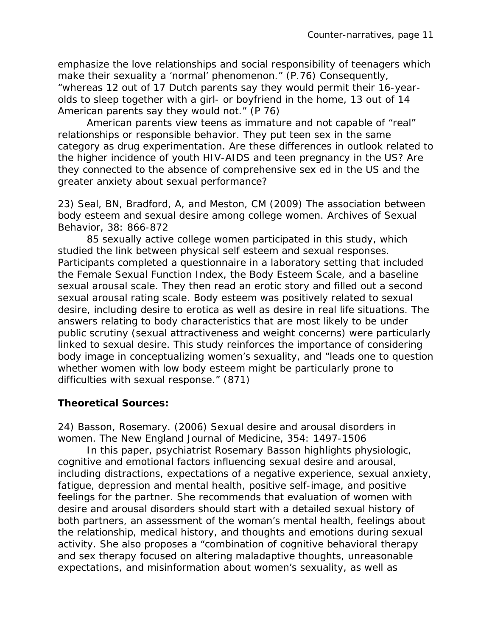emphasize the love relationships and social responsibility of teenagers which make their sexuality a 'normal' phenomenon." (P.76) Consequently, "whereas 12 out of 17 Dutch parents say they would permit their 16-yearolds to sleep together with a girl- or boyfriend in the home, 13 out of 14 American parents say they would not." (P 76)

American parents view teens as immature and not capable of "real" relationships or responsible behavior. They put teen sex in the same category as drug experimentation. Are these differences in outlook related to the higher incidence of youth HIV-AIDS and teen pregnancy in the US? Are they connected to the absence of comprehensive sex ed in the US and the greater anxiety about sexual performance?

23) Seal, BN, Bradford, A, and Meston, CM (2009) The association between body esteem and sexual desire among college women. Archives of Sexual Behavior, 38: 866-872

85 sexually active college women participated in this study, which studied the link between physical self esteem and sexual responses. Participants completed a questionnaire in a laboratory setting that included the Female Sexual Function Index, the Body Esteem Scale, and a baseline sexual arousal scale. They then read an erotic story and filled out a second sexual arousal rating scale. Body esteem was positively related to sexual desire, including desire to erotica as well as desire in real life situations. The answers relating to body characteristics that are most likely to be under public scrutiny (sexual attractiveness and weight concerns) were particularly linked to sexual desire. This study reinforces the importance of considering body image in conceptualizing women's sexuality, and "leads one to question whether women with low body esteem might be particularly prone to difficulties with sexual response." (871)

## **Theoretical Sources:**

24) Basson, Rosemary. (2006) Sexual desire and arousal disorders in women. The New England Journal of Medicine, 354: 1497-1506

In this paper, psychiatrist Rosemary Basson highlights physiologic, cognitive and emotional factors influencing sexual desire and arousal, including distractions, expectations of a negative experience, sexual anxiety, fatigue, depression and mental health, positive self-image, and positive feelings for the partner. She recommends that evaluation of women with desire and arousal disorders should start with a detailed sexual history of both partners, an assessment of the woman's mental health, feelings about the relationship, medical history, and thoughts and emotions during sexual activity. She also proposes a "combination of cognitive behavioral therapy and sex therapy focused on altering maladaptive thoughts, unreasonable expectations, and misinformation about women's sexuality, as well as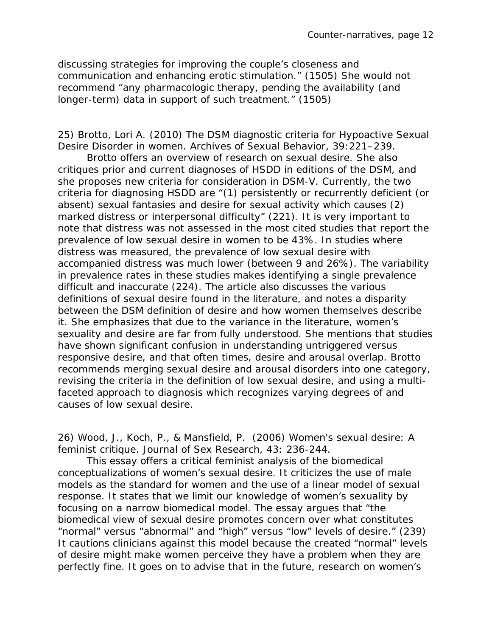discussing strategies for improving the couple's closeness and communication and enhancing erotic stimulation." (1505) She would *not* recommend "any pharmacologic therapy, pending the availability (and longer-term) data in support of such treatment." (1505)

25) Brotto, Lori A. (2010) The DSM diagnostic criteria for Hypoactive Sexual Desire Disorder in women. Archives of Sexual Behavior, 39:221–239.

Brotto offers an overview of research on sexual desire. She also critiques prior and current diagnoses of HSDD in editions of the DSM, and she proposes new criteria for consideration in DSM-V. Currently, the two criteria for diagnosing HSDD are "(1) persistently or recurrently deficient (or absent) sexual fantasies and desire for sexual activity which causes (2) marked distress or interpersonal difficulty" (221). It is very important to note that distress was not assessed in the most cited studies that report the prevalence of low sexual desire in women to be 43%. In studies where distress was measured, the prevalence of low sexual desire with accompanied distress was much lower (between 9 and 26%). The variability in prevalence rates in these studies makes identifying a single prevalence difficult and inaccurate (224). The article also discusses the various definitions of sexual desire found in the literature, and notes a disparity between the DSM definition of desire and how women themselves describe it. She emphasizes that due to the variance in the literature, women's sexuality and desire are far from fully understood. She mentions that studies have shown significant confusion in understanding untriggered versus responsive desire, and that often times, desire and arousal overlap. Brotto recommends merging sexual desire and arousal disorders into one category, revising the criteria in the definition of low sexual desire, and using a multifaceted approach to diagnosis which recognizes varying degrees of and causes of low sexual desire.

26) Wood, J., Koch, P., & Mansfield, P. (2006) Women's sexual desire: A feminist critique. Journal of Sex Research, 43: 236-244.

This essay offers a critical feminist analysis of the biomedical conceptualizations of women's sexual desire. It criticizes the use of male models as the standard for women and the use of a linear model of sexual response. It states that we limit our knowledge of women's sexuality by focusing on a narrow biomedical model. The essay argues that "the biomedical view of sexual desire promotes concern over what constitutes "normal" versus "abnormal" and "high" versus "low" levels of desire." (239) It cautions clinicians against this model because the created "normal" levels of desire might make women perceive they have a problem when they are perfectly fine. It goes on to advise that in the future, research on women's